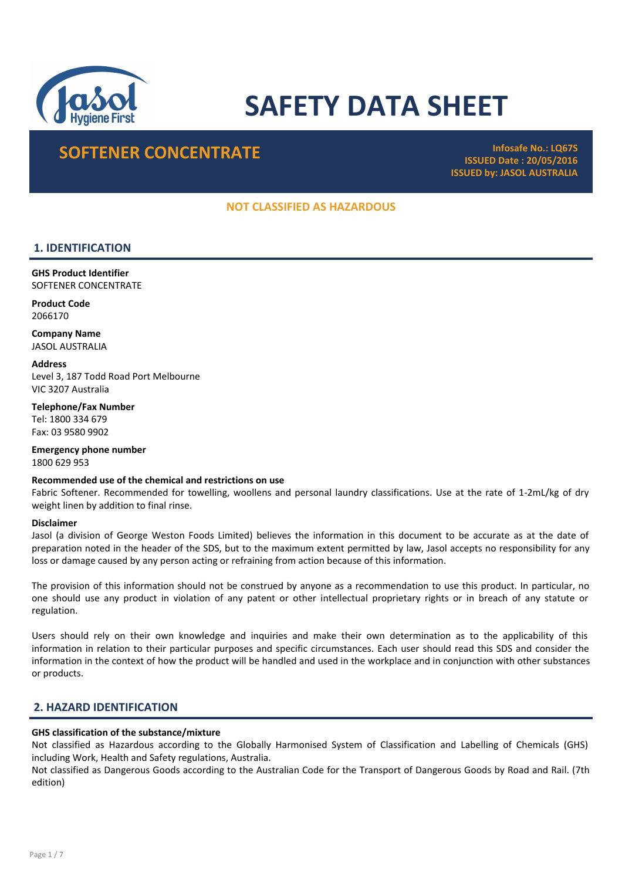

# SAFETY DATA SHEET

# SOFTENER CONCENTRATE

ISSUED Date : 20/05/2016 ISSUED by: JASOL AUSTRALIA

# NOT CLASSIFIED AS HAZARDOUS

# 1. IDENTIFICATION

GHS Product Identifier SOFTENER CONCENTRATE

Product Code 2066170

Company Name JASOL AUSTRALIA

**Address** Level 3, 187 Todd Road Port Melbourne VIC 3207 Australia

Telephone/Fax Number Tel: 1800 334 679 Fax: 03 9580 9902

Emergency phone number 1800 629 953

#### Recommended use of the chemical and restrictions on use

Fabric Softener. Recommended for towelling, woollens and personal laundry classifications. Use at the rate of 1-2mL/kg of dry weight linen by addition to final rinse.

#### Disclaimer

Jasol (a division of George Weston Foods Limited) believes the information in this document to be accurate as at the date of preparation noted in the header of the SDS, but to the maximum extent permitted by law, Jasol accepts no responsibility for any loss or damage caused by any person acting or refraining from action because of this information.

The provision of this information should not be construed by anyone as a recommendation to use this product. In particular, no one should use any product in violation of any patent or other intellectual proprietary rights or in breach of any statute or regulation.

Users should rely on their own knowledge and inquiries and make their own determination as to the applicability of this information in relation to their particular purposes and specific circumstances. Each user should read this SDS and consider the information in the context of how the product will be handled and used in the workplace and in conjunction with other substances or products.

# 2. HAZARD IDENTIFICATION

#### GHS classification of the substance/mixture

Not classified as Hazardous according to the Globally Harmonised System of Classification and Labelling of Chemicals (GHS) including Work, Health and Safety regulations, Australia.

Not classified as Dangerous Goods according to the Australian Code for the Transport of Dangerous Goods by Road and Rail. (7th edition)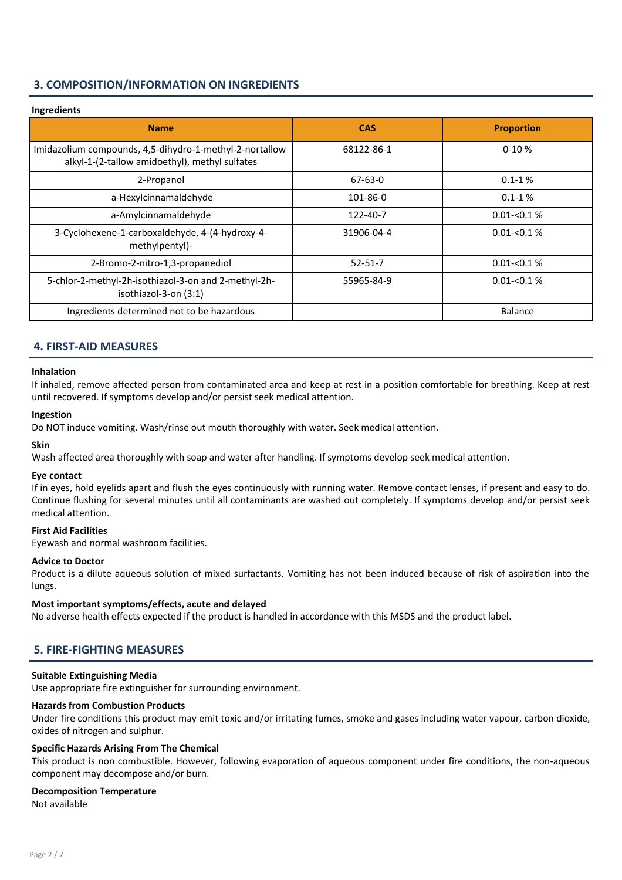# 3. COMPOSITION/INFORMATION ON INGREDIENTS

# Ingredients

| <b>Name</b>                                                                                               | <b>CAS</b>    | <b>Proportion</b> |
|-----------------------------------------------------------------------------------------------------------|---------------|-------------------|
| Imidazolium compounds, 4,5-dihydro-1-methyl-2-nortallow<br>alkyl-1-(2-tallow amidoethyl), methyl sulfates | 68122-86-1    | $0-10%$           |
| 2-Propanol                                                                                                | $67 - 63 - 0$ | $0.1 - 1%$        |
| a-Hexylcinnamaldehyde                                                                                     | 101-86-0      | $0.1 - 1%$        |
| a-Amylcinnamaldehyde                                                                                      | 122-40-7      | $0.01 - 0.1 %$    |
| 3-Cyclohexene-1-carboxaldehyde, 4-(4-hydroxy-4-<br>methylpentyl)-                                         | 31906-04-4    | $0.01 - 0.1\%$    |
| 2-Bromo-2-nitro-1,3-propanediol                                                                           | $52 - 51 - 7$ | $0.01 - 0.1 %$    |
| 5-chlor-2-methyl-2h-isothiazol-3-on and 2-methyl-2h-<br>isothiazol-3-on (3:1)                             | 55965-84-9    | $0.01 - 0.1 %$    |
| Ingredients determined not to be hazardous                                                                |               | Balance           |

# 4. FIRST-AID MEASURES

#### Inhalation

If inhaled, remove affected person from contaminated area and keep at rest in a position comfortable for breathing. Keep at rest until recovered. If symptoms develop and/or persist seek medical attention.

#### Ingestion

Do NOT induce vomiting. Wash/rinse out mouth thoroughly with water. Seek medical attention.

#### Skin

Wash affected area thoroughly with soap and water after handling. If symptoms develop seek medical attention.

#### Eye contact

If in eyes, hold eyelids apart and flush the eyes continuously with running water. Remove contact lenses, if present and easy to do. Continue flushing for several minutes until all contaminants are washed out completely. If symptoms develop and/or persist seek medical attention.

#### First Aid Facilities

Eyewash and normal washroom facilities.

#### Advice to Doctor

Product is a dilute aqueous solution of mixed surfactants. Vomiting has not been induced because of risk of aspiration into the lungs.

#### Most important symptoms/effects, acute and delayed

No adverse health effects expected if the product is handled in accordance with this MSDS and the product label.

# 5. FIRE-FIGHTING MEASURES

#### Suitable Extinguishing Media

Use appropriate fire extinguisher for surrounding environment.

#### Hazards from Combustion Products

Under fire conditions this product may emit toxic and/or irritating fumes, smoke and gases including water vapour, carbon dioxide, oxides of nitrogen and sulphur.

#### Specific Hazards Arising From The Chemical

This product is non combustible. However, following evaporation of aqueous component under fire conditions, the non-aqueous component may decompose and/or burn.

#### Decomposition Temperature

Not available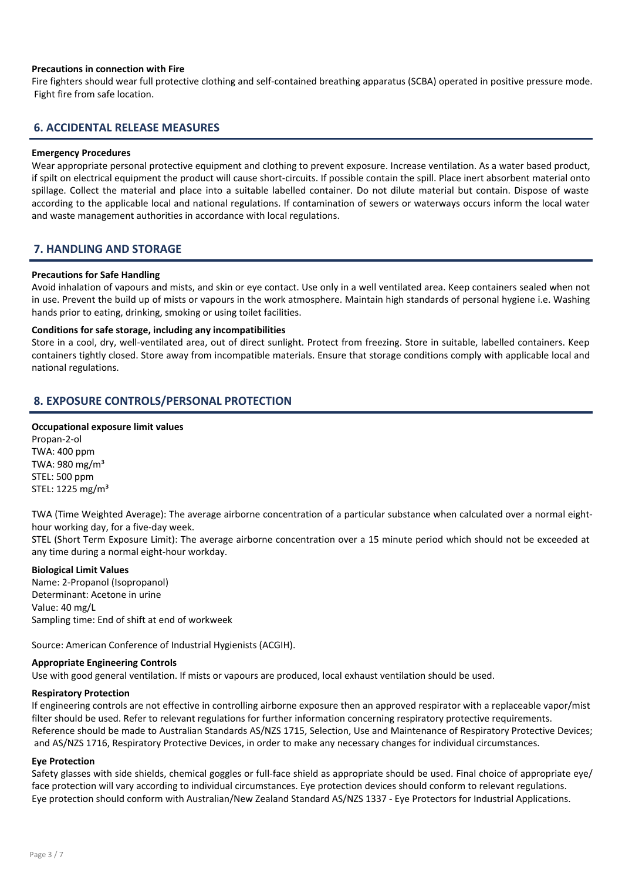#### Precautions in connection with Fire

Fire fighters should wear full protective clothing and self-contained breathing apparatus (SCBA) operated in positive pressure mode. Fight fire from safe location.

# 6. ACCIDENTAL RELEASE MEASURES

#### Emergency Procedures

Wear appropriate personal protective equipment and clothing to prevent exposure. Increase ventilation. As a water based product, if spilt on electrical equipment the product will cause short-circuits. If possible contain the spill. Place inert absorbent material onto spillage. Collect the material and place into a suitable labelled container. Do not dilute material but contain. Dispose of waste according to the applicable local and national regulations. If contamination of sewers or waterways occurs inform the local water and waste management authorities in accordance with local regulations.

# 7. HANDLING AND STORAGE

#### Precautions for Safe Handling

Avoid inhalation of vapours and mists, and skin or eye contact. Use only in a well ventilated area. Keep containers sealed when not in use. Prevent the build up of mists or vapours in the work atmosphere. Maintain high standards of personal hygiene i.e. Washing hands prior to eating, drinking, smoking or using toilet facilities.

#### Conditions for safe storage, including any incompatibilities

Store in a cool, dry, well-ventilated area, out of direct sunlight. Protect from freezing. Store in suitable, labelled containers. Keep containers tightly closed. Store away from incompatible materials. Ensure that storage conditions comply with applicable local and national regulations.

# 8. EXPOSURE CONTROLS/PERSONAL PROTECTION

#### Occupational exposure limit values

Propan-2-ol TWA: 400 ppm TWA: 980 mg/m³ STEL: 500 ppm STEL: 1225 mg/m³

TWA (Time Weighted Average): The average airborne concentration of a particular substance when calculated over a normal eighthour working day, for a five-day week.

STEL (Short Term Exposure Limit): The average airborne concentration over a 15 minute period which should not be exceeded at any time during a normal eight-hour workday.

#### Biological Limit Values

Name: 2-Propanol (Isopropanol) Determinant: Acetone in urine Value: 40 mg/L Sampling time: End of shift at end of workweek

Source: American Conference of Industrial Hygienists (ACGIH).

#### Appropriate Engineering Controls

Use with good general ventilation. If mists or vapours are produced, local exhaust ventilation should be used.

#### Respiratory Protection

If engineering controls are not effective in controlling airborne exposure then an approved respirator with a replaceable vapor/mist filter should be used. Refer to relevant regulations for further information concerning respiratory protective requirements. Reference should be made to Australian Standards AS/NZS 1715, Selection, Use and Maintenance of Respiratory Protective Devices; and AS/NZS 1716, Respiratory Protective Devices, in order to make any necessary changes for individual circumstances.

#### Eye Protection

Safety glasses with side shields, chemical goggles or full-face shield as appropriate should be used. Final choice of appropriate eye/ face protection will vary according to individual circumstances. Eye protection devices should conform to relevant regulations. Eye protection should conform with Australian/New Zealand Standard AS/NZS 1337 - Eye Protectors for Industrial Applications.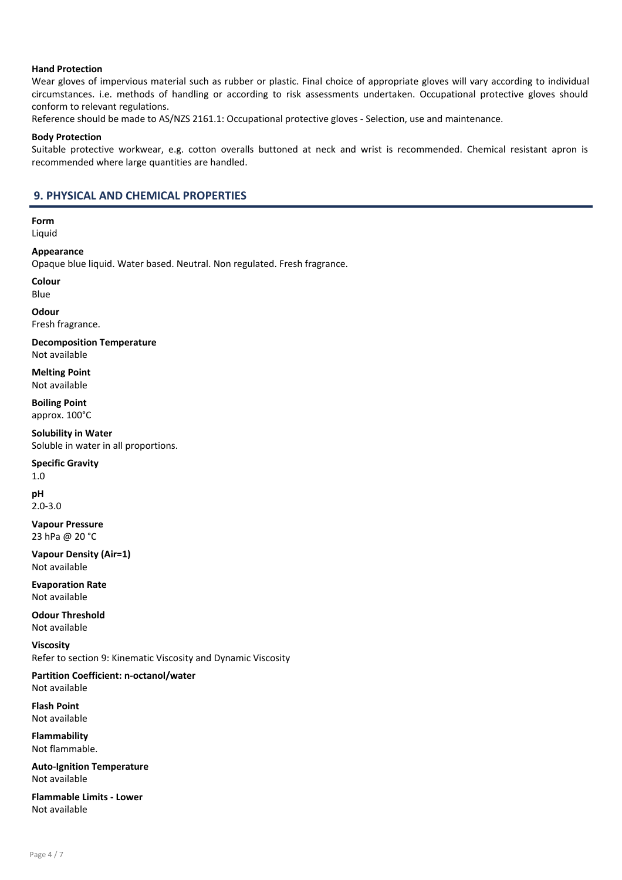#### Hand Protection

Wear gloves of impervious material such as rubber or plastic. Final choice of appropriate gloves will vary according to individual circumstances. i.e. methods of handling or according to risk assessments undertaken. Occupational protective gloves should conform to relevant regulations.

Reference should be made to AS/NZS 2161.1: Occupational protective gloves - Selection, use and maintenance.

#### Body Protection

Suitable protective workwear, e.g. cotton overalls buttoned at neck and wrist is recommended. Chemical resistant apron is recommended where large quantities are handled.

### 9. PHYSICAL AND CHEMICAL PROPERTIES

Form Liquid

Appearance

Opaque blue liquid. Water based. Neutral. Non regulated. Fresh fragrance.

Colour

Blue

**Odour** 

Fresh fragrance.

Decomposition Temperature Not available

Melting Point Not available

Boiling Point approx. 100°C

Solubility in Water Soluble in water in all proportions.

#### Specific Gravity

1.0 pH 2.0-3.0

Vapour Pressure 23 hPa @ 20 °C

Vapour Density (Air=1) Not available

Evaporation Rate Not available

Odour Threshold Not available

Viscosity Refer to section 9: Kinematic Viscosity and Dynamic Viscosity

Partition Coefficient: n-octanol/water Not available

Flash Point Not available

Flammability Not flammable.

Auto-Ignition Temperature Not available

Flammable Limits - Lower Not available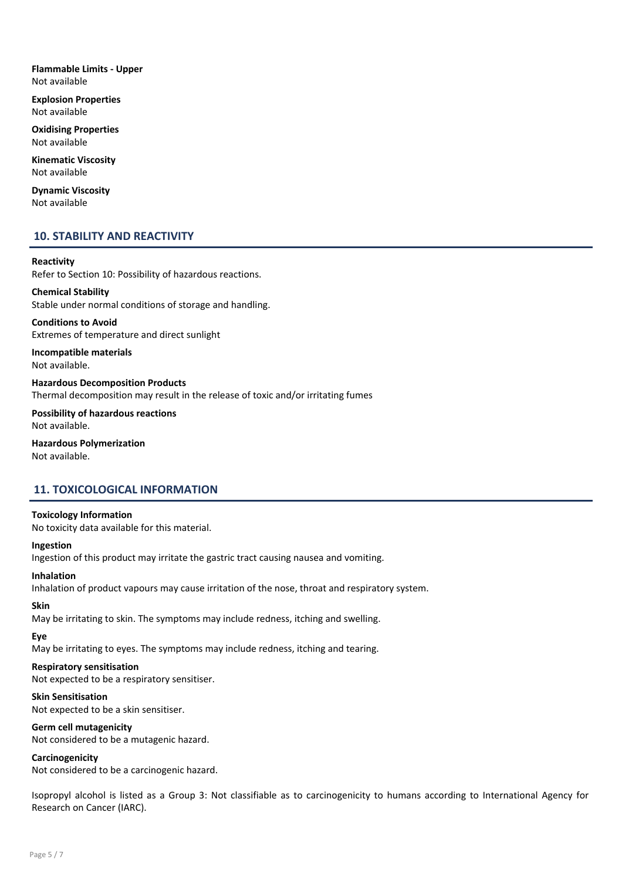Flammable Limits - Upper Not available

Explosion Properties Not available

Oxidising Properties Not available

Kinematic Viscosity Not available

Dynamic Viscosity Not available

#### 10. STABILITY AND REACTIVITY

#### Reactivity

Refer to Section 10: Possibility of hazardous reactions.

# Chemical Stability Stable under normal conditions of storage and handling.

Conditions to Avoid Extremes of temperature and direct sunlight

Incompatible materials Not available.

Hazardous Decomposition Products Thermal decomposition may result in the release of toxic and/or irritating fumes

Possibility of hazardous reactions Not available.

Hazardous Polymerization Not available.

# 11. TOXICOLOGICAL INFORMATION

#### Toxicology Information

No toxicity data available for this material.

#### Ingestion

Ingestion of this product may irritate the gastric tract causing nausea and vomiting.

#### Inhalation

Inhalation of product vapours may cause irritation of the nose, throat and respiratory system.

#### Skin

May be irritating to skin. The symptoms may include redness, itching and swelling.

Eye

May be irritating to eyes. The symptoms may include redness, itching and tearing.

#### Respiratory sensitisation

Not expected to be a respiratory sensitiser.

#### Skin Sensitisation

Not expected to be a skin sensitiser.

#### Germ cell mutagenicity

Not considered to be a mutagenic hazard.

#### Carcinogenicity

Not considered to be a carcinogenic hazard.

Isopropyl alcohol is listed as a Group 3: Not classifiable as to carcinogenicity to humans according to International Agency for Research on Cancer (IARC).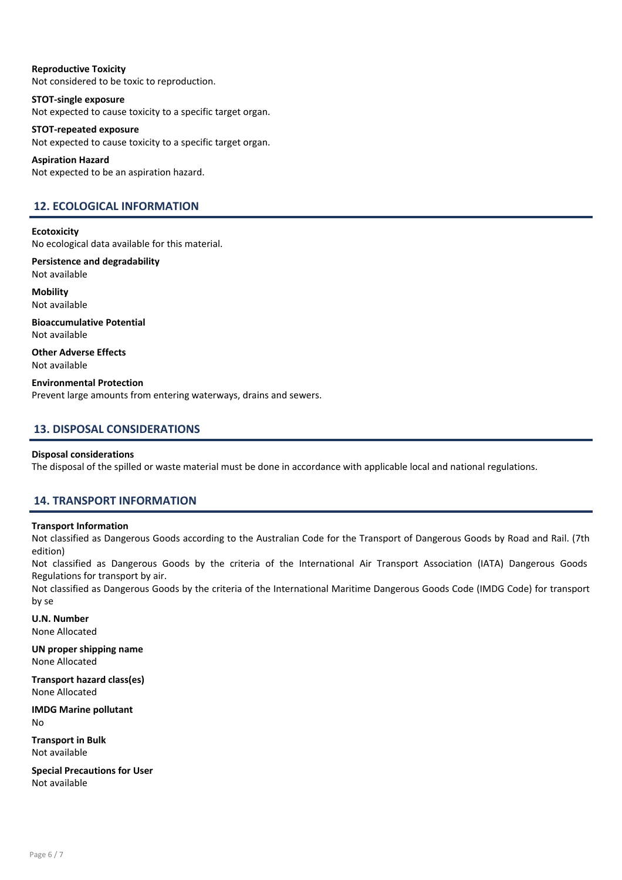Reproductive Toxicity Not considered to be toxic to reproduction.

STOT-single exposure Not expected to cause toxicity to a specific target organ.

STOT-repeated exposure Not expected to cause toxicity to a specific target organ.

Aspiration Hazard Not expected to be an aspiration hazard.

# 12. ECOLOGICAL INFORMATION

**Ecotoxicity** 

No ecological data available for this material.

Persistence and degradability Not available

**Mobility** Not available

Bioaccumulative Potential Not available

Other Adverse Effects Not available

Environmental Protection Prevent large amounts from entering waterways, drains and sewers.

# 13. DISPOSAL CONSIDERATIONS

#### Disposal considerations

The disposal of the spilled or waste material must be done in accordance with applicable local and national regulations.

# 14. TRANSPORT INFORMATION

#### Transport Information

Not classified as Dangerous Goods according to the Australian Code for the Transport of Dangerous Goods by Road and Rail. (7th edition)

Not classified as Dangerous Goods by the criteria of the International Air Transport Association (IATA) Dangerous Goods Regulations for transport by air.

Not classified as Dangerous Goods by the criteria of the International Maritime Dangerous Goods Code (IMDG Code) for transport by se

U.N. Number None Allocated

UN proper shipping name None Allocated

Transport hazard class(es) None Allocated

IMDG Marine pollutant No

Transport in Bulk Not available

Special Precautions for User Not available